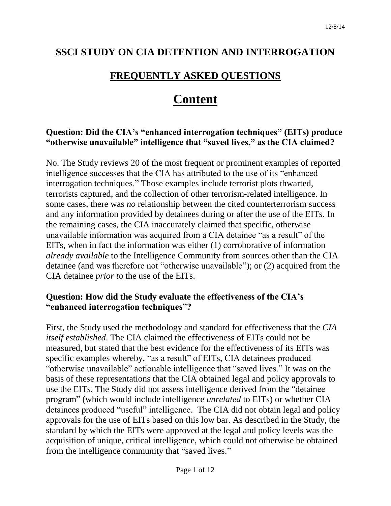# **SSCI STUDY ON CIA DETENTION AND INTERROGATION**

# **FREQUENTLY ASKED QUESTIONS**

# **Content**

### **Question: Did the CIA's "enhanced interrogation techniques" (EITs) produce "otherwise unavailable" intelligence that "saved lives," as the CIA claimed?**

No. The Study reviews 20 of the most frequent or prominent examples of reported intelligence successes that the CIA has attributed to the use of its "enhanced interrogation techniques." Those examples include terrorist plots thwarted, terrorists captured, and the collection of other terrorism-related intelligence. In some cases, there was *no* relationship between the cited counterterrorism success and any information provided by detainees during or after the use of the EITs. In the remaining cases, the CIA inaccurately claimed that specific, otherwise unavailable information was acquired from a CIA detainee "as a result" of the EITs, when in fact the information was either (1) corroborative of information *already available* to the Intelligence Community from sources other than the CIA detainee (and was therefore not "otherwise unavailable"); or (2) acquired from the CIA detainee *prior to* the use of the EITs.

#### **Question: How did the Study evaluate the effectiveness of the CIA's "enhanced interrogation techniques"?**

First, the Study used the methodology and standard for effectiveness that the *CIA itself established*. The CIA claimed the effectiveness of EITs could not be measured, but stated that the best evidence for the effectiveness of its EITs was specific examples whereby, "as a result" of EITs, CIA detainees produced "otherwise unavailable" actionable intelligence that "saved lives." It was on the basis of these representations that the CIA obtained legal and policy approvals to use the EITs. The Study did not assess intelligence derived from the "detainee program" (which would include intelligence *unrelated* to EITs) or whether CIA detainees produced "useful" intelligence. The CIA did not obtain legal and policy approvals for the use of EITs based on this low bar. As described in the Study, the standard by which the EITs were approved at the legal and policy levels was the acquisition of unique, critical intelligence, which could not otherwise be obtained from the intelligence community that "saved lives."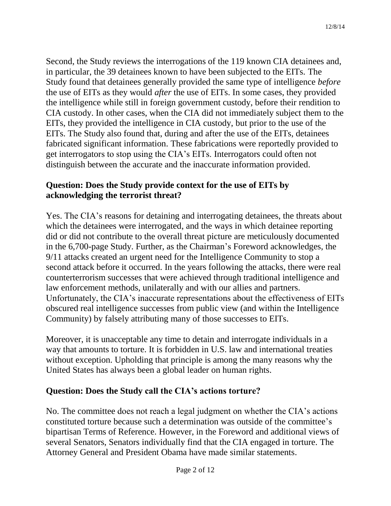Second, the Study reviews the interrogations of the 119 known CIA detainees and, in particular, the 39 detainees known to have been subjected to the EITs. The Study found that detainees generally provided the same type of intelligence *before* the use of EITs as they would *after* the use of EITs. In some cases, they provided the intelligence while still in foreign government custody, before their rendition to CIA custody. In other cases, when the CIA did not immediately subject them to the EITs, they provided the intelligence in CIA custody, but prior to the use of the EITs. The Study also found that, during and after the use of the EITs, detainees fabricated significant information. These fabrications were reportedly provided to get interrogators to stop using the CIA's EITs. Interrogators could often not distinguish between the accurate and the inaccurate information provided.

# **Question: Does the Study provide context for the use of EITs by acknowledging the terrorist threat?**

Yes. The CIA's reasons for detaining and interrogating detainees, the threats about which the detainees were interrogated, and the ways in which detainee reporting did or did not contribute to the overall threat picture are meticulously documented in the 6,700-page Study. Further, as the Chairman's Foreword acknowledges, the 9/11 attacks created an urgent need for the Intelligence Community to stop a second attack before it occurred. In the years following the attacks, there were real counterterrorism successes that were achieved through traditional intelligence and law enforcement methods, unilaterally and with our allies and partners. Unfortunately, the CIA's inaccurate representations about the effectiveness of EITs obscured real intelligence successes from public view (and within the Intelligence Community) by falsely attributing many of those successes to EITs.

Moreover, it is unacceptable any time to detain and interrogate individuals in a way that amounts to torture. It is forbidden in U.S. law and international treaties without exception. Upholding that principle is among the many reasons why the United States has always been a global leader on human rights.

# **Question: Does the Study call the CIA's actions torture?**

No. The committee does not reach a legal judgment on whether the CIA's actions constituted torture because such a determination was outside of the committee's bipartisan Terms of Reference. However, in the Foreword and additional views of several Senators, Senators individually find that the CIA engaged in torture. The Attorney General and President Obama have made similar statements.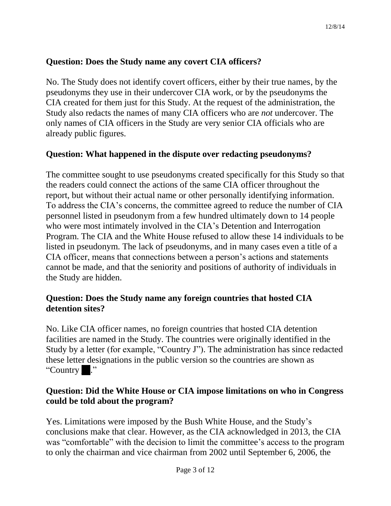# **Question: Does the Study name any covert CIA officers?**

No. The Study does not identify covert officers, either by their true names, by the pseudonyms they use in their undercover CIA work, or by the pseudonyms the CIA created for them just for this Study. At the request of the administration, the Study also redacts the names of many CIA officers who are *not* undercover. The only names of CIA officers in the Study are very senior CIA officials who are already public figures.

# **Question: What happened in the dispute over redacting pseudonyms?**

The committee sought to use pseudonyms created specifically for this Study so that the readers could connect the actions of the same CIA officer throughout the report, but without their actual name or other personally identifying information. To address the CIA's concerns, the committee agreed to reduce the number of CIA personnel listed in pseudonym from a few hundred ultimately down to 14 people who were most intimately involved in the CIA's Detention and Interrogation Program. The CIA and the White House refused to allow these 14 individuals to be listed in pseudonym. The lack of pseudonyms, and in many cases even a title of a CIA officer, means that connections between a person's actions and statements cannot be made, and that the seniority and positions of authority of individuals in the Study are hidden.

### **Question: Does the Study name any foreign countries that hosted CIA detention sites?**

No. Like CIA officer names, no foreign countries that hosted CIA detention facilities are named in the Study. The countries were originally identified in the Study by a letter (for example, "Country J"). The administration has since redacted these letter designations in the public version so the countries are shown as "Country \_\_."

# **Question: Did the White House or CIA impose limitations on who in Congress could be told about the program?**

Yes. Limitations were imposed by the Bush White House, and the Study's conclusions make that clear. However, as the CIA acknowledged in 2013, the CIA was "comfortable" with the decision to limit the committee's access to the program to only the chairman and vice chairman from 2002 until September 6, 2006, the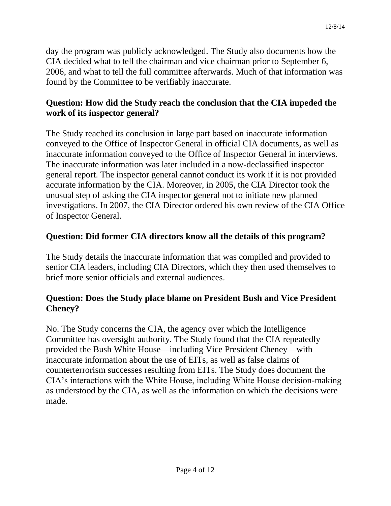day the program was publicly acknowledged. The Study also documents how the CIA decided what to tell the chairman and vice chairman prior to September 6, 2006, and what to tell the full committee afterwards. Much of that information was found by the Committee to be verifiably inaccurate.

# **Question: How did the Study reach the conclusion that the CIA impeded the work of its inspector general?**

The Study reached its conclusion in large part based on inaccurate information conveyed to the Office of Inspector General in official CIA documents, as well as inaccurate information conveyed to the Office of Inspector General in interviews. The inaccurate information was later included in a now-declassified inspector general report. The inspector general cannot conduct its work if it is not provided accurate information by the CIA. Moreover, in 2005, the CIA Director took the unusual step of asking the CIA inspector general not to initiate new planned investigations. In 2007, the CIA Director ordered his own review of the CIA Office of Inspector General.

# **Question: Did former CIA directors know all the details of this program?**

The Study details the inaccurate information that was compiled and provided to senior CIA leaders, including CIA Directors, which they then used themselves to brief more senior officials and external audiences.

# **Question: Does the Study place blame on President Bush and Vice President Cheney?**

No. The Study concerns the CIA, the agency over which the Intelligence Committee has oversight authority. The Study found that the CIA repeatedly provided the Bush White House—including Vice President Cheney—with inaccurate information about the use of EITs, as well as false claims of counterterrorism successes resulting from EITs. The Study does document the CIA's interactions with the White House, including White House decision-making as understood by the CIA, as well as the information on which the decisions were made.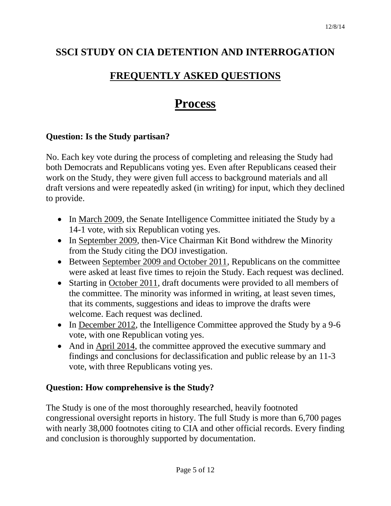# **SSCI STUDY ON CIA DETENTION AND INTERROGATION**

# **FREQUENTLY ASKED QUESTIONS**

# **Process**

# **Question: Is the Study partisan?**

No. Each key vote during the process of completing and releasing the Study had both Democrats and Republicans voting yes. Even after Republicans ceased their work on the Study, they were given full access to background materials and all draft versions and were repeatedly asked (in writing) for input, which they declined to provide.

- In March 2009, the Senate Intelligence Committee initiated the Study by a 14-1 vote, with six Republican voting yes.
- In September 2009, then-Vice Chairman Kit Bond withdrew the Minority from the Study citing the DOJ investigation.
- Between September 2009 and October 2011, Republicans on the committee were asked at least five times to rejoin the Study. Each request was declined.
- Starting in October 2011, draft documents were provided to all members of the committee. The minority was informed in writing, at least seven times, that its comments, suggestions and ideas to improve the drafts were welcome. Each request was declined.
- In December 2012, the Intelligence Committee approved the Study by a 9-6 vote, with one Republican voting yes.
- And in April 2014, the committee approved the executive summary and findings and conclusions for declassification and public release by an 11-3 vote, with three Republicans voting yes.

# **Question: How comprehensive is the Study?**

The Study is one of the most thoroughly researched, heavily footnoted congressional oversight reports in history. The full Study is more than 6,700 pages with nearly 38,000 footnotes citing to CIA and other official records. Every finding and conclusion is thoroughly supported by documentation.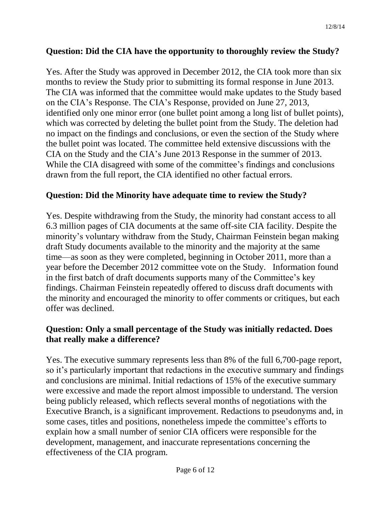# **Question: Did the CIA have the opportunity to thoroughly review the Study?**

Yes. After the Study was approved in December 2012, the CIA took more than six months to review the Study prior to submitting its formal response in June 2013. The CIA was informed that the committee would make updates to the Study based on the CIA's Response. The CIA's Response, provided on June 27, 2013, identified only one minor error (one bullet point among a long list of bullet points), which was corrected by deleting the bullet point from the Study. The deletion had no impact on the findings and conclusions, or even the section of the Study where the bullet point was located. The committee held extensive discussions with the CIA on the Study and the CIA's June 2013 Response in the summer of 2013. While the CIA disagreed with some of the committee's findings and conclusions drawn from the full report, the CIA identified no other factual errors.

# **Question: Did the Minority have adequate time to review the Study?**

Yes. Despite withdrawing from the Study, the minority had constant access to all 6.3 million pages of CIA documents at the same off-site CIA facility. Despite the minority's voluntary withdraw from the Study, Chairman Feinstein began making draft Study documents available to the minority and the majority at the same time—as soon as they were completed, beginning in October 2011, more than a year before the December 2012 committee vote on the Study. Information found in the first batch of draft documents supports many of the Committee's key findings. Chairman Feinstein repeatedly offered to discuss draft documents with the minority and encouraged the minority to offer comments or critiques, but each offer was declined.

# **Question: Only a small percentage of the Study was initially redacted. Does that really make a difference?**

Yes. The executive summary represents less than 8% of the full 6,700-page report, so it's particularly important that redactions in the executive summary and findings and conclusions are minimal. Initial redactions of 15% of the executive summary were excessive and made the report almost impossible to understand. The version being publicly released, which reflects several months of negotiations with the Executive Branch, is a significant improvement. Redactions to pseudonyms and, in some cases, titles and positions, nonetheless impede the committee's efforts to explain how a small number of senior CIA officers were responsible for the development, management, and inaccurate representations concerning the effectiveness of the CIA program.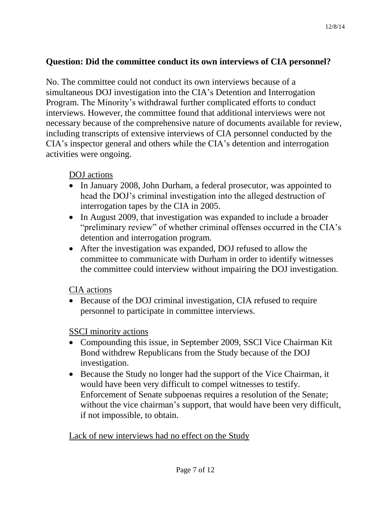### **Question: Did the committee conduct its own interviews of CIA personnel?**

No. The committee could not conduct its own interviews because of a simultaneous DOJ investigation into the CIA's Detention and Interrogation Program. The Minority's withdrawal further complicated efforts to conduct interviews. However, the committee found that additional interviews were not necessary because of the comprehensive nature of documents available for review, including transcripts of extensive interviews of CIA personnel conducted by the CIA's inspector general and others while the CIA's detention and interrogation activities were ongoing.

DOJ actions

- In January 2008, John Durham, a federal prosecutor, was appointed to head the DOJ's criminal investigation into the alleged destruction of interrogation tapes by the CIA in 2005.
- In August 2009, that investigation was expanded to include a broader "preliminary review" of whether criminal offenses occurred in the CIA's detention and interrogation program.
- After the investigation was expanded, DOJ refused to allow the committee to communicate with Durham in order to identify witnesses the committee could interview without impairing the DOJ investigation.

CIA actions

• Because of the DOJ criminal investigation, CIA refused to require personnel to participate in committee interviews.

SSCI minority actions

- Compounding this issue, in September 2009, SSCI Vice Chairman Kit Bond withdrew Republicans from the Study because of the DOJ investigation.
- Because the Study no longer had the support of the Vice Chairman, it would have been very difficult to compel witnesses to testify. Enforcement of Senate subpoenas requires a resolution of the Senate; without the vice chairman's support, that would have been very difficult, if not impossible, to obtain.

Lack of new interviews had no effect on the Study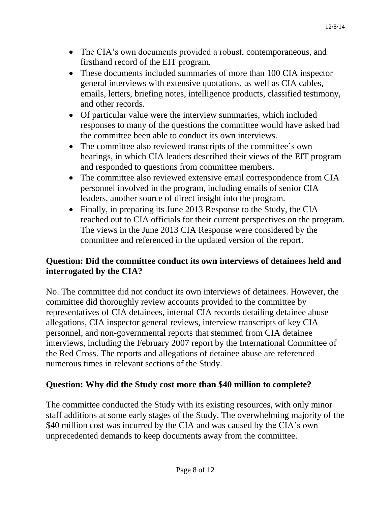- The CIA's own documents provided a robust, contemporaneous, and firsthand record of the EIT program.
- These documents included summaries of more than 100 CIA inspector general interviews with extensive quotations, as well as CIA cables, emails, letters, briefing notes, intelligence products, classified testimony, and other records.
- Of particular value were the interview summaries, which included responses to many of the questions the committee would have asked had the committee been able to conduct its own interviews.
- The committee also reviewed transcripts of the committee's own hearings, in which CIA leaders described their views of the EIT program and responded to questions from committee members.
- The committee also reviewed extensive email correspondence from CIA personnel involved in the program, including emails of senior CIA leaders, another source of direct insight into the program.
- Finally, in preparing its June 2013 Response to the Study, the CIA reached out to CIA officials for their current perspectives on the program. The views in the June 2013 CIA Response were considered by the committee and referenced in the updated version of the report.

# **Question: Did the committee conduct its own interviews of detainees held and interrogated by the CIA?**

No. The committee did not conduct its own interviews of detainees. However, the committee did thoroughly review accounts provided to the committee by representatives of CIA detainees, internal CIA records detailing detainee abuse allegations, CIA inspector general reviews, interview transcripts of key CIA personnel, and non-governmental reports that stemmed from CIA detainee interviews, including the February 2007 report by the International Committee of the Red Cross. The reports and allegations of detainee abuse are referenced numerous times in relevant sections of the Study.

# **Question: Why did the Study cost more than \$40 million to complete?**

The committee conducted the Study with its existing resources, with only minor staff additions at some early stages of the Study. The overwhelming majority of the \$40 million cost was incurred by the CIA and was caused by the CIA's own unprecedented demands to keep documents away from the committee.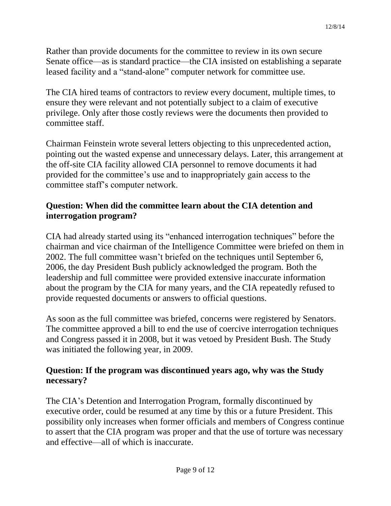Rather than provide documents for the committee to review in its own secure Senate office—as is standard practice—the CIA insisted on establishing a separate leased facility and a "stand-alone" computer network for committee use.

The CIA hired teams of contractors to review every document, multiple times, to ensure they were relevant and not potentially subject to a claim of executive privilege. Only after those costly reviews were the documents then provided to committee staff.

Chairman Feinstein wrote several letters objecting to this unprecedented action, pointing out the wasted expense and unnecessary delays. Later, this arrangement at the off-site CIA facility allowed CIA personnel to remove documents it had provided for the committee's use and to inappropriately gain access to the committee staff's computer network.

# **Question: When did the committee learn about the CIA detention and interrogation program?**

CIA had already started using its "enhanced interrogation techniques" before the chairman and vice chairman of the Intelligence Committee were briefed on them in 2002. The full committee wasn't briefed on the techniques until September 6, 2006, the day President Bush publicly acknowledged the program. Both the leadership and full committee were provided extensive inaccurate information about the program by the CIA for many years, and the CIA repeatedly refused to provide requested documents or answers to official questions.

As soon as the full committee was briefed, concerns were registered by Senators. The committee approved a bill to end the use of coercive interrogation techniques and Congress passed it in 2008, but it was vetoed by President Bush. The Study was initiated the following year, in 2009.

# **Question: If the program was discontinued years ago, why was the Study necessary?**

The CIA's Detention and Interrogation Program, formally discontinued by executive order, could be resumed at any time by this or a future President. This possibility only increases when former officials and members of Congress continue to assert that the CIA program was proper and that the use of torture was necessary and effective—all of which is inaccurate.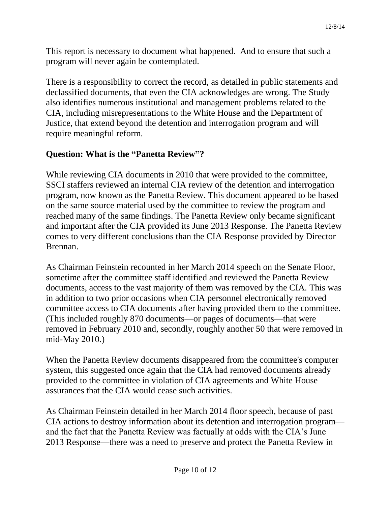This report is necessary to document what happened. And to ensure that such a program will never again be contemplated.

There is a responsibility to correct the record, as detailed in public statements and declassified documents, that even the CIA acknowledges are wrong. The Study also identifies numerous institutional and management problems related to the CIA, including misrepresentations to the White House and the Department of Justice, that extend beyond the detention and interrogation program and will require meaningful reform.

# **Question: What is the "Panetta Review"?**

While reviewing CIA documents in 2010 that were provided to the committee, SSCI staffers reviewed an internal CIA review of the detention and interrogation program, now known as the Panetta Review. This document appeared to be based on the same source material used by the committee to review the program and reached many of the same findings. The Panetta Review only became significant and important after the CIA provided its June 2013 Response. The Panetta Review comes to very different conclusions than the CIA Response provided by Director Brennan.

As Chairman Feinstein recounted in her March 2014 speech on the Senate Floor, sometime after the committee staff identified and reviewed the Panetta Review documents, access to the vast majority of them was removed by the CIA. This was in addition to two prior occasions when CIA personnel electronically removed committee access to CIA documents after having provided them to the committee. (This included roughly 870 documents—or pages of documents—that were removed in February 2010 and, secondly, roughly another 50 that were removed in mid-May 2010.)

When the Panetta Review documents disappeared from the committee's computer system, this suggested once again that the CIA had removed documents already provided to the committee in violation of CIA agreements and White House assurances that the CIA would cease such activities.

As Chairman Feinstein detailed in her March 2014 floor speech, because of past CIA actions to destroy information about its detention and interrogation program and the fact that the Panetta Review was factually at odds with the CIA's June 2013 Response—there was a need to preserve and protect the Panetta Review in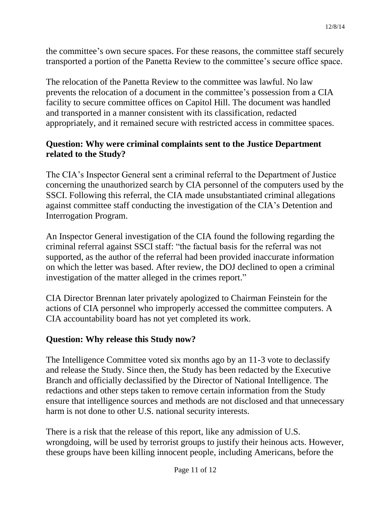the committee's own secure spaces. For these reasons, the committee staff securely transported a portion of the Panetta Review to the committee's secure office space.

The relocation of the Panetta Review to the committee was lawful. No law prevents the relocation of a document in the committee's possession from a CIA facility to secure committee offices on Capitol Hill. The document was handled and transported in a manner consistent with its classification, redacted appropriately, and it remained secure with restricted access in committee spaces.

# **Question: Why were criminal complaints sent to the Justice Department related to the Study?**

The CIA's Inspector General sent a criminal referral to the Department of Justice concerning the unauthorized search by CIA personnel of the computers used by the SSCI. Following this referral, the CIA made unsubstantiated criminal allegations against committee staff conducting the investigation of the CIA's Detention and Interrogation Program.

An Inspector General investigation of the CIA found the following regarding the criminal referral against SSCI staff: "the factual basis for the referral was not supported, as the author of the referral had been provided inaccurate information on which the letter was based. After review, the DOJ declined to open a criminal investigation of the matter alleged in the crimes report."

CIA Director Brennan later privately apologized to Chairman Feinstein for the actions of CIA personnel who improperly accessed the committee computers. A CIA accountability board has not yet completed its work.

### **Question: Why release this Study now?**

The Intelligence Committee voted six months ago by an 11-3 vote to declassify and release the Study. Since then, the Study has been redacted by the Executive Branch and officially declassified by the Director of National Intelligence. The redactions and other steps taken to remove certain information from the Study ensure that intelligence sources and methods are not disclosed and that unnecessary harm is not done to other U.S. national security interests.

There is a risk that the release of this report, like any admission of U.S. wrongdoing, will be used by terrorist groups to justify their heinous acts. However, these groups have been killing innocent people, including Americans, before the